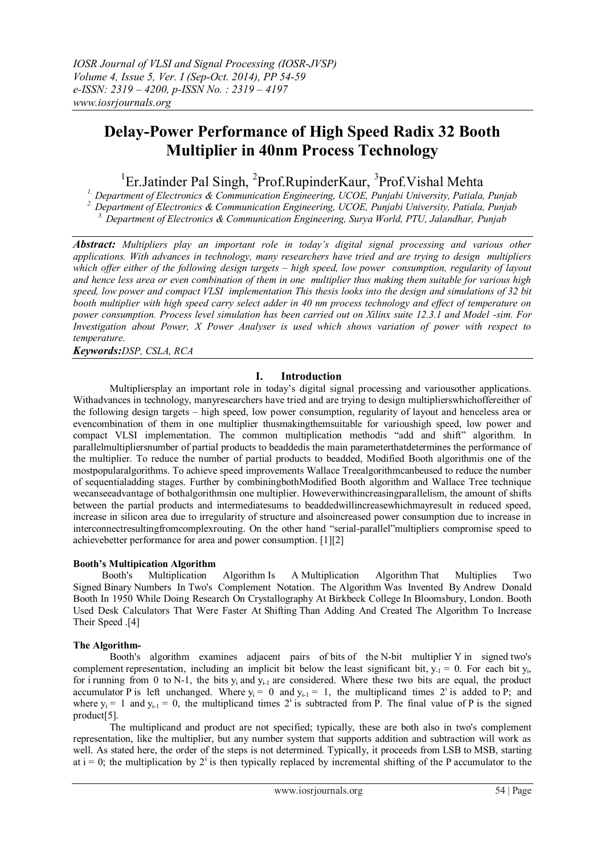# **Delay-Power Performance of High Speed Radix 32 Booth Multiplier in 40nm Process Technology**

## <sup>1</sup>Er.Jatinder Pal Singh, <sup>2</sup>Prof.RupinderKaur, <sup>3</sup>Prof.Vishal Mehta

*1. Department of Electronics & Communication Engineering, UCOE, Punjabi University, Patiala, Punjab 2. Department of Electronics & Communication Engineering, UCOE, Punjabi University, Patiala, Punjab*

*3. Department of Electronics & Communication Engineering, Surya World, PTU, Jalandhar, Punjab*

*Abstract: Multipliers play an important role in today's digital signal processing and various other applications. With advances in technology, many researchers have tried and are trying to design multipliers which offer either of the following design targets – high speed, low power consumption, regularity of layout and hence less area or even combination of them in one multiplier thus making them suitable for various high speed, low power and compact VLSI implementation This thesis looks into the design and simulations of 32 bit booth multiplier with high speed carry select adder in 40 nm process technology and effect of temperature on power consumption. Process level simulation has been carried out on Xilinx suite 12.3.1 and Model -sim. For Investigation about Power, X Power Analyser is used which shows variation of power with respect to temperature.*

*Keywords:DSP, CSLA, RCA*

## **I. Introduction**

Multipliersplay an important role in today's digital signal processing and variousother applications. Withadvances in technology, manyresearchers have tried and are trying to design multiplierswhichoffereither of the following design targets – high speed, low power consumption, regularity of layout and henceless area or evencombination of them in one multiplier thusmakingthemsuitable for varioushigh speed, low power and compact VLSI implementation. The common multiplication methodis "add and shift" algorithm. In parallelmultipliersnumber of partial products to beaddedis the main parameterthatdetermines the performance of the multiplier. To reduce the number of partial products to beadded, Modified Booth algorithmis one of the mostpopularalgorithms. To achieve speed improvements Wallace Treealgorithmcanbeused to reduce the number of sequentialadding stages. Further by combiningbothModified Booth algorithm and Wallace Tree technique wecanseeadvantage of bothalgorithmsin one multiplier. Howeverwithincreasingparallelism, the amount of shifts between the partial products and intermediatesums to beaddedwillincreasewhichmayresult in reduced speed, increase in silicon area due to irregularity of structure and alsoincreased power consumption due to increase in interconnectresultingfromcomplexrouting. On the other hand "serial-parallel"multipliers compromise speed to achievebetter performance for area and power consumption. [1][2]

## **Booth's Multipication Algorithm**

Booth's Multiplication Algorithm Is A [Multiplication Algorithm](http://en.wikipedia.org/wiki/Multiplication_algorithm) That Multiplies Two Signed [Binary](http://en.wikipedia.org/wiki/Base_2) Numbers In [Two's Complement Notation.](http://en.wikipedia.org/wiki/Two%27s_complement) The [Algorithm](http://en.wikipedia.org/wiki/Algorithm) Was Invented By [Andrew Donald](http://en.wikipedia.org/wiki/Andrew_Donald_Booth)  [Booth](http://en.wikipedia.org/wiki/Andrew_Donald_Booth) In 1950 While Doing Research On [Crystallography](http://en.wikipedia.org/wiki/Crystallography) At [Birkbeck College](http://en.wikipedia.org/wiki/Birkbeck,_University_of_London) In [Bloomsbury,](http://en.wikipedia.org/wiki/Bloomsbury) [London.](http://en.wikipedia.org/wiki/London) Booth Used Desk Calculators That Were Faster At [Shifting](http://en.wikipedia.org/wiki/Arithmetic_shift) Than Adding And Created The Algorithm To Increase Their Speed .[4]

## **The Algorithm-**

Booth's algorithm examines adjacent pairs of [bits](http://en.wikipedia.org/wiki/Bit) of the N-bit multiplier Y in signed [two's](http://en.wikipedia.org/wiki/Two%27s_complement)  [complement](http://en.wikipedia.org/wiki/Two%27s_complement) representation, including an implicit bit below the [least significant bit,](http://en.wikipedia.org/wiki/Least_significant_bit)  $y_{-1} = 0$ . For each bit  $y_i$ , for i running from 0 to N-1, the bits  $y_i$  and  $y_{i-1}$  are considered. Where these two bits are equal, the product accumulator P is left unchanged. Where  $y_i = 0$  and  $y_{i-1} = 1$ , the multiplicand times  $2^i$  is added to P; and where  $y_i = 1$  and  $y_{i-1} = 0$ , the multiplicand times  $2^i$  is subtracted from P. The final value of P is the signed product[5].

The multiplicand and product are not specified; typically, these are both also in two's complement representation, like the multiplier, but any number system that supports addition and subtraction will work as well. As stated here, the order of the steps is not determined. Typically, it proceeds from [LSB](http://en.wikipedia.org/wiki/Least_significant_bit) to [MSB,](http://en.wikipedia.org/wiki/Most_significant_bit) starting at  $i = 0$ ; the multiplication by  $2^{i}$  is then typically replaced by incremental shifting of the P accumulator to the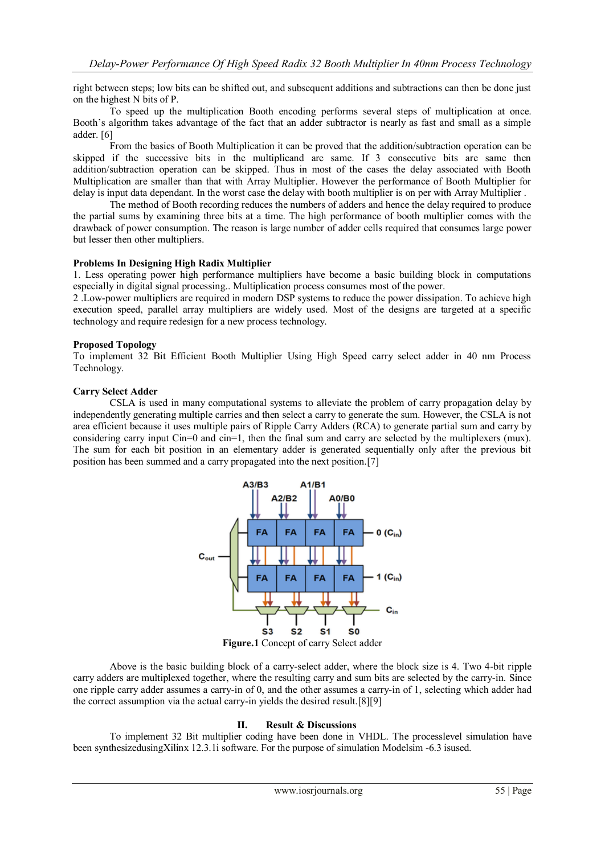right between steps; low bits can be shifted out, and subsequent additions and subtractions can then be done just on the highest N bits of P.

To speed up the multiplication Booth encoding performs several steps of multiplication at once. Booth's algorithm takes advantage of the fact that an adder subtractor is nearly as fast and small as a simple adder. [6]

From the basics of Booth Multiplication it can be proved that the addition/subtraction operation can be skipped if the successive bits in the multiplicand are same. If 3 consecutive bits are same then addition/subtraction operation can be skipped. Thus in most of the cases the delay associated with Booth Multiplication are smaller than that with Array Multiplier. However the performance of Booth Multiplier for delay is input data dependant. In the worst case the delay with booth multiplier is on per with Array Multiplier .

The method of Booth recording reduces the numbers of adders and hence the delay required to produce the partial sums by examining three bits at a time. The high performance of booth multiplier comes with the drawback of power consumption. The reason is large number of adder cells required that consumes large power but lesser then other multipliers.

#### **Problems In Designing High Radix Multiplier**

1. Less operating power high performance multipliers have become a basic building block in computations especially in digital signal processing.. Multiplication process consumes most of the power.

2 .Low-power multipliers are required in modern DSP systems to reduce the power dissipation. To achieve high execution speed, parallel array multipliers are widely used. Most of the designs are targeted at a specific technology and require redesign for a new process technology.

#### **Proposed Topology**

To implement 32 Bit Efficient Booth Multiplier Using High Speed carry select adder in 40 nm Process Technology.

#### **Carry Select Adder**

CSLA is used in many computational systems to alleviate the problem of carry propagation delay by independently generating multiple carries and then select a carry to generate the sum. However, the CSLA is not area efficient because it uses multiple pairs of Ripple Carry Adders (RCA) to generate partial sum and carry by considering carry input Cin=0 and cin=1, then the final sum and carry are selected by the multiplexers (mux). The sum for each bit position in an elementary adder is generated sequentially only after the previous bit position has been summed and a carry propagated into the next position.[7]



**Figure.1** Concept of carry Select adder

Above is the basic building block of a carry-select adder, where the block size is 4. Two 4-bit ripple carry adders are multiplexed together, where the resulting carry and sum bits are selected by the carry-in. Since one ripple carry adder assumes a carry-in of 0, and the other assumes a carry-in of 1, selecting which adder had the correct assumption via the actual carry-in yields the desired result.[8][9]

#### **II. Result & Discussions**

To implement 32 Bit multiplier coding have been done in VHDL. The processlevel simulation have been synthesizedusingXilinx 12.3.1i software. For the purpose of simulation Modelsim -6.3 isused.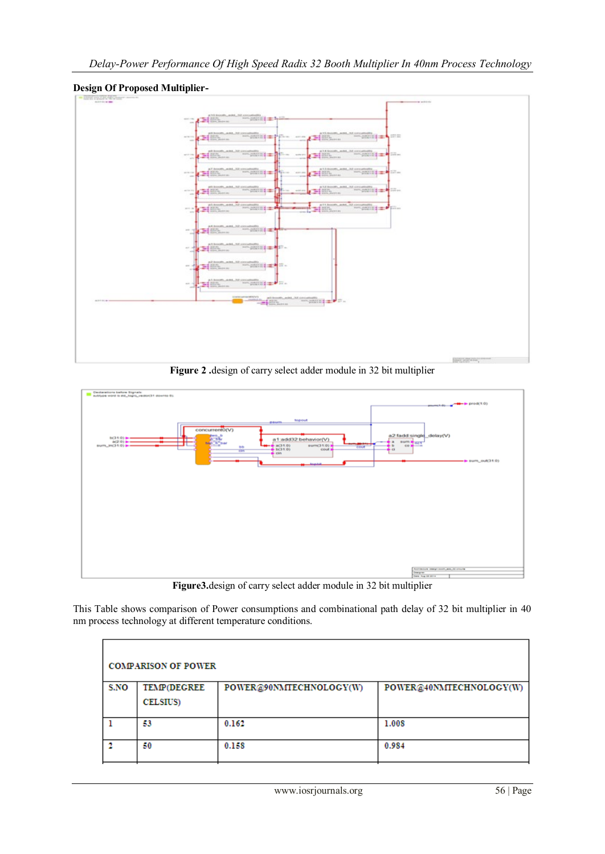

**Design Of Proposed Multiplier-**

**Figure 2 .**design of carry select adder module in 32 bit multiplier



**Figure3.**design of carry select adder module in 32 bit multiplier

This Table shows comparison of Power consumptions and combinational path delay of 32 bit multiplier in 40 nm process technology at different temperature conditions.

| <b>COMPARISON OF POWER</b> |                    |                         |                         |  |  |  |  |
|----------------------------|--------------------|-------------------------|-------------------------|--|--|--|--|
| S.NO                       | <b>TEMP(DEGREE</b> | POWER@90NMTECHNOLOGY(W) | POWER@40NMTECHNOLOGY(W) |  |  |  |  |
|                            | <b>CELSIUS</b>     |                         |                         |  |  |  |  |
|                            | 53                 | 0.162                   | 1.008                   |  |  |  |  |
|                            | 50                 | 0.158                   | 0.984                   |  |  |  |  |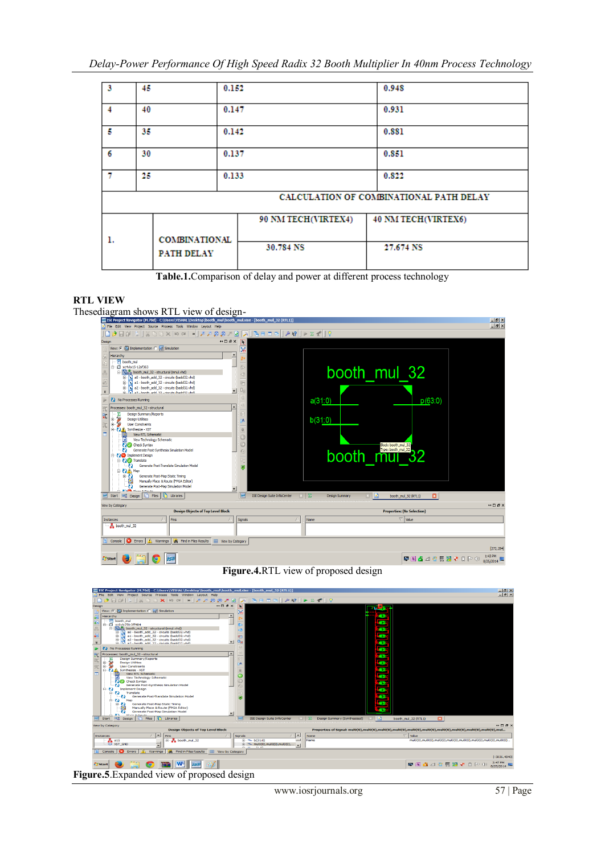| ı.                                      |     | <b>COMBINATIONAL</b> |  | 90 NM TECH(VIRTEX4)<br>30.784 NS | 40 NM TECH(VIRTEX6)<br>27.674 NS |  |  |  |
|-----------------------------------------|-----|----------------------|--|----------------------------------|----------------------------------|--|--|--|
| CALCULATION OF COMBINATIONAL PATH DELAY |     |                      |  |                                  |                                  |  |  |  |
| $\mathcal{T}$                           | 25. | 0.133                |  |                                  | 0.822                            |  |  |  |
| 6                                       |     | 30<br>0.137          |  |                                  | 0.851                            |  |  |  |
| 5                                       |     | 35<br>0.142          |  |                                  | 0.881                            |  |  |  |
| $\overline{4}$                          |     | 40<br>0.147          |  |                                  | 0.931                            |  |  |  |
| l 3                                     | 45  | 0.152                |  |                                  | 0.948                            |  |  |  |

**Table.1.**Comparison of delay and power at different process technology

## **RTL VIEW**

Thesediagram shows RTL view of design-



**Figure.4.**RTL view of proposed design



**Figure.5**.Expanded view of proposed design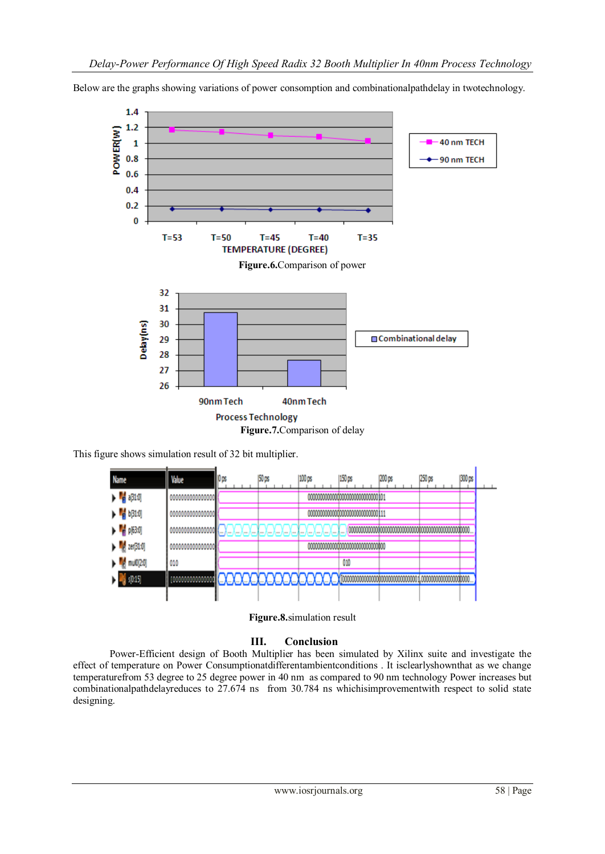Below are the graphs showing variations of power consomption and combinationalpathdelay in twotechnology.



This figure shows simulation result of 32 bit multiplier.





## **III. Conclusion**

Power-Efficient design of Booth Multiplier has been simulated by Xilinx suite and investigate the effect of temperature on Power Consumptionatdifferentambientconditions . It isclearlyshownthat as we change temperaturefrom 53 degree to 25 degree power in 40 nm as compared to 90 nm technology Power increases but combinationalpathdelayreduces to 27.674 ns from 30.784 ns whichisimprovementwith respect to solid state designing.